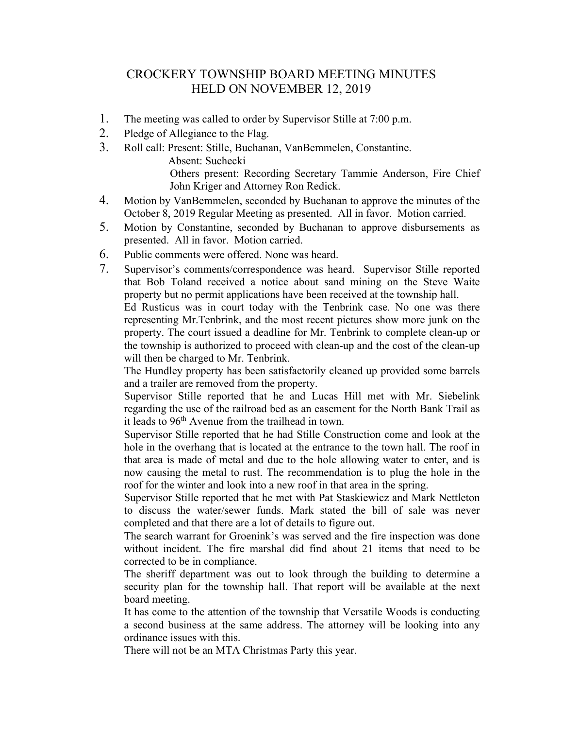## CROCKERY TOWNSHIP BOARD MEETING MINUTES HELD ON NOVEMBER 12, 2019

- 1. The meeting was called to order by Supervisor Stille at 7:00 p.m.
- 2. Pledge of Allegiance to the Flag.
- 3. Roll call: Present: Stille, Buchanan, VanBemmelen, Constantine. Absent: Suchecki Others present: Recording Secretary Tammie Anderson, Fire Chief John Kriger and Attorney Ron Redick.
- 4. Motion by VanBemmelen, seconded by Buchanan to approve the minutes of the October 8, 2019 Regular Meeting as presented. All in favor. Motion carried.
- 5. Motion by Constantine, seconded by Buchanan to approve disbursements as presented. All in favor. Motion carried.
- 6. Public comments were offered. None was heard.
- 7. Supervisor's comments/correspondence was heard. Supervisor Stille reported that Bob Toland received a notice about sand mining on the Steve Waite property but no permit applications have been received at the township hall.

Ed Rusticus was in court today with the Tenbrink case. No one was there representing Mr.Tenbrink, and the most recent pictures show more junk on the property. The court issued a deadline for Mr. Tenbrink to complete clean-up or the township is authorized to proceed with clean-up and the cost of the clean-up will then be charged to Mr. Tenbrink.

The Hundley property has been satisfactorily cleaned up provided some barrels and a trailer are removed from the property.

Supervisor Stille reported that he and Lucas Hill met with Mr. Siebelink regarding the use of the railroad bed as an easement for the North Bank Trail as it leads to  $96<sup>th</sup>$  Avenue from the trailhead in town.

Supervisor Stille reported that he had Stille Construction come and look at the hole in the overhang that is located at the entrance to the town hall. The roof in that area is made of metal and due to the hole allowing water to enter, and is now causing the metal to rust. The recommendation is to plug the hole in the roof for the winter and look into a new roof in that area in the spring.

Supervisor Stille reported that he met with Pat Staskiewicz and Mark Nettleton to discuss the water/sewer funds. Mark stated the bill of sale was never completed and that there are a lot of details to figure out.

The search warrant for Groenink's was served and the fire inspection was done without incident. The fire marshal did find about 21 items that need to be corrected to be in compliance.

The sheriff department was out to look through the building to determine a security plan for the township hall. That report will be available at the next board meeting.

It has come to the attention of the township that Versatile Woods is conducting a second business at the same address. The attorney will be looking into any ordinance issues with this.

There will not be an MTA Christmas Party this year.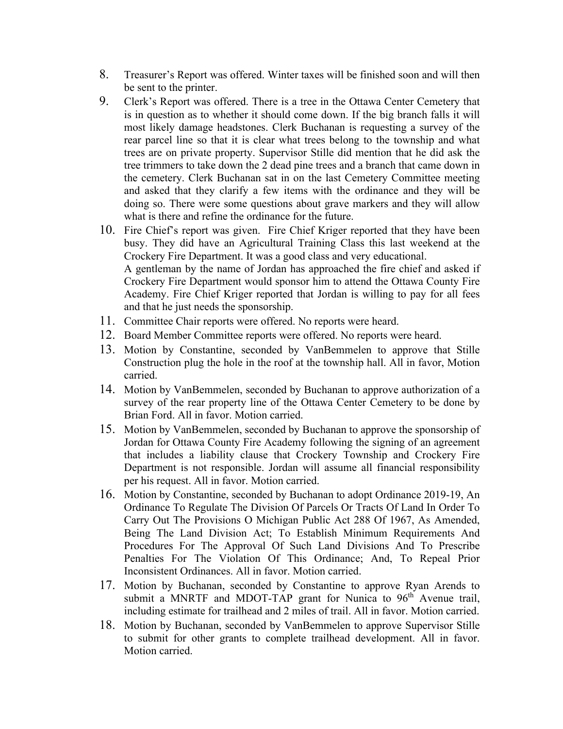- 8. Treasurer's Report was offered. Winter taxes will be finished soon and will then be sent to the printer.
- 9. Clerk's Report was offered. There is a tree in the Ottawa Center Cemetery that is in question as to whether it should come down. If the big branch falls it will most likely damage headstones. Clerk Buchanan is requesting a survey of the rear parcel line so that it is clear what trees belong to the township and what trees are on private property. Supervisor Stille did mention that he did ask the tree trimmers to take down the 2 dead pine trees and a branch that came down in the cemetery. Clerk Buchanan sat in on the last Cemetery Committee meeting and asked that they clarify a few items with the ordinance and they will be doing so. There were some questions about grave markers and they will allow what is there and refine the ordinance for the future.
- 10. Fire Chief's report was given. Fire Chief Kriger reported that they have been busy. They did have an Agricultural Training Class this last weekend at the Crockery Fire Department. It was a good class and very educational. A gentleman by the name of Jordan has approached the fire chief and asked if Crockery Fire Department would sponsor him to attend the Ottawa County Fire Academy. Fire Chief Kriger reported that Jordan is willing to pay for all fees and that he just needs the sponsorship.
- 11. Committee Chair reports were offered. No reports were heard.
- 12. Board Member Committee reports were offered. No reports were heard.
- 13. Motion by Constantine, seconded by VanBemmelen to approve that Stille Construction plug the hole in the roof at the township hall. All in favor, Motion carried.
- 14. Motion by VanBemmelen, seconded by Buchanan to approve authorization of a survey of the rear property line of the Ottawa Center Cemetery to be done by Brian Ford. All in favor. Motion carried.
- 15. Motion by VanBemmelen, seconded by Buchanan to approve the sponsorship of Jordan for Ottawa County Fire Academy following the signing of an agreement that includes a liability clause that Crockery Township and Crockery Fire Department is not responsible. Jordan will assume all financial responsibility per his request. All in favor. Motion carried.
- 16. Motion by Constantine, seconded by Buchanan to adopt Ordinance 2019-19, An Ordinance To Regulate The Division Of Parcels Or Tracts Of Land In Order To Carry Out The Provisions O Michigan Public Act 288 Of 1967, As Amended, Being The Land Division Act; To Establish Minimum Requirements And Procedures For The Approval Of Such Land Divisions And To Prescribe Penalties For The Violation Of This Ordinance; And, To Repeal Prior Inconsistent Ordinances. All in favor. Motion carried.
- 17. Motion by Buchanan, seconded by Constantine to approve Ryan Arends to submit a MNRTF and MDOT-TAP grant for Nunica to 96<sup>th</sup> Avenue trail, including estimate for trailhead and 2 miles of trail. All in favor. Motion carried.
- 18. Motion by Buchanan, seconded by VanBemmelen to approve Supervisor Stille to submit for other grants to complete trailhead development. All in favor. Motion carried.